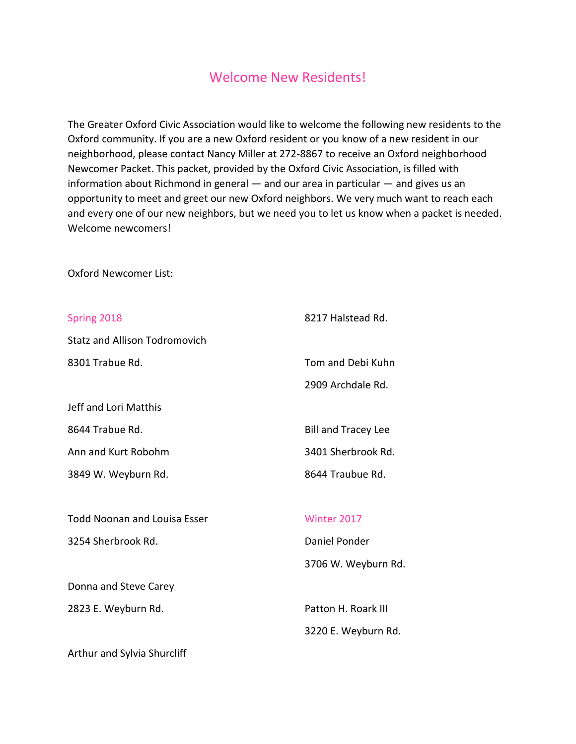## Welcome New Residents!

The Greater Oxford Civic Association would like to welcome the following new residents to the Oxford community. If you are a new Oxford resident or you know of a new resident in our neighborhood, please contact Nancy Miller at 272-8867 to receive an Oxford neighborhood Newcomer Packet. This packet, provided by the Oxford Civic Association, is filled with information about Richmond in general — and our area in particular — and gives us an opportunity to meet and greet our new Oxford neighbors. We very much want to reach each and every one of our new neighbors, but we need you to let us know when a packet is needed. Welcome newcomers!

Oxford Newcomer List:

| Spring 2018                          | 8217 Halstead Rd.          |
|--------------------------------------|----------------------------|
| <b>Statz and Allison Todromovich</b> |                            |
| 8301 Trabue Rd.                      | Tom and Debi Kuhn          |
|                                      | 2909 Archdale Rd.          |
| Jeff and Lori Matthis                |                            |
| 8644 Trabue Rd.                      | <b>Bill and Tracey Lee</b> |
| Ann and Kurt Robohm                  | 3401 Sherbrook Rd.         |
| 3849 W. Weyburn Rd.                  | 8644 Traubue Rd.           |
|                                      |                            |
| <b>Todd Noonan and Louisa Esser</b>  | Winter 2017                |
| 3254 Sherbrook Rd.                   | Daniel Ponder              |
|                                      | 3706 W. Weyburn Rd.        |
| Donna and Steve Carey                |                            |
| 2823 E. Weyburn Rd.                  | Patton H. Roark III        |
|                                      | 3220 E. Weyburn Rd.        |
| Arthur and Sylvia Shurcliff          |                            |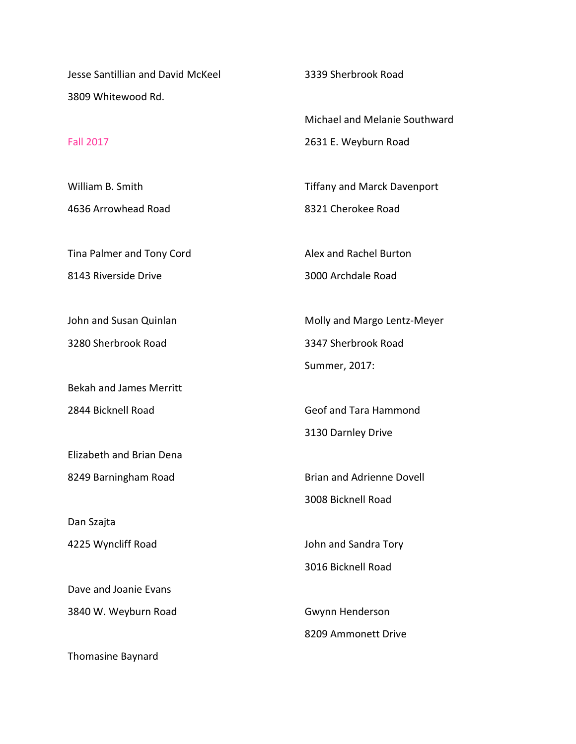Jesse Santillian and David McKeel 3809 Whitewood Rd.

## Fall 2017

William B. Smith 4636 Arrowhead Road

Tina Palmer and Tony Cord 8143 Riverside Drive

John and Susan Quinlan 3280 Sherbrook Road

Bekah and James Merritt 2844 Bicknell Road

Elizabeth and Brian Dena 8249 Barningham Road

Dan Szajta 4225 Wyncliff Road

Dave and Joanie Evans 3840 W. Weyburn Road

Thomasine Baynard

3339 Sherbrook Road

Michael and Melanie Southward 2631 E. Weyburn Road

Tiffany and Marck Davenport 8321 Cherokee Road

Alex and Rachel Burton 3000 Archdale Road

Molly and Margo Lentz-Meyer 3347 Sherbrook Road Summer, 2017:

Geof and Tara Hammond 3130 Darnley Drive

Brian and Adrienne Dovell 3008 Bicknell Road

John and Sandra Tory 3016 Bicknell Road

Gwynn Henderson 8209 Ammonett Drive